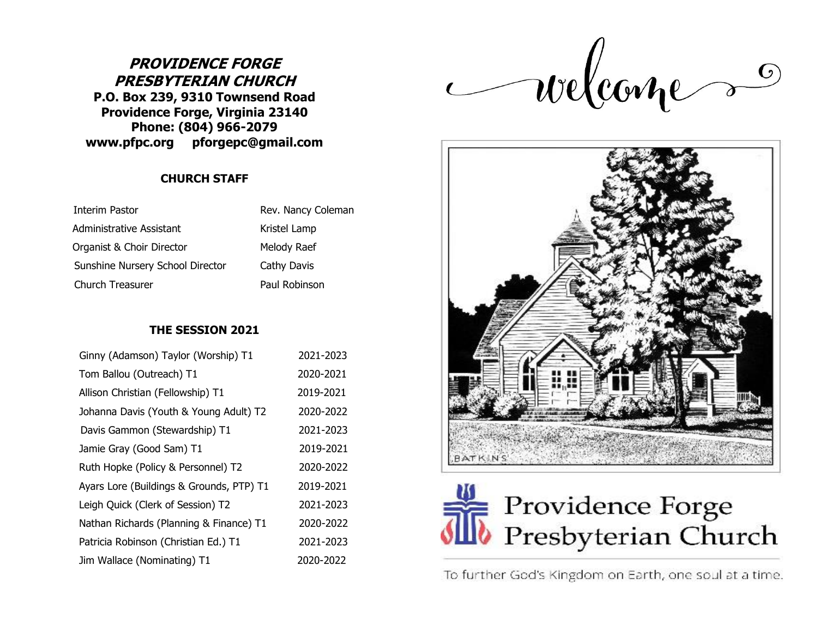## **PROVIDENCE FORGE PRESBYTERIAN CHURCH P.O. Box 239, 9310 Townsend Road Providence Forge, Virginia 23140 Phone: (804) 966-2079 www.pfpc.org pforgepc@gmail.com**

**CHURCH STAFF**

| Interim Pastor                   | Rev. Nancy Coleman |
|----------------------------------|--------------------|
| Administrative Assistant         | Kristel Lamp       |
| Organist & Choir Director        | Melody Raef        |
| Sunshine Nursery School Director | Cathy Davis        |
| Church Treasurer                 | Paul Robinson      |

## **THE SESSION 2021**

| Ginny (Adamson) Taylor (Worship) T1      | 2021-2023 |
|------------------------------------------|-----------|
| Tom Ballou (Outreach) T1                 | 2020-2021 |
| Allison Christian (Fellowship) T1        | 2019-2021 |
| Johanna Davis (Youth & Young Adult) T2   | 2020-2022 |
| Davis Gammon (Stewardship) T1            | 2021-2023 |
| Jamie Gray (Good Sam) T1                 | 2019-2021 |
| Ruth Hopke (Policy & Personnel) T2       | 2020-2022 |
| Ayars Lore (Buildings & Grounds, PTP) T1 | 2019-2021 |
| Leigh Quick (Clerk of Session) T2        | 2021-2023 |
| Nathan Richards (Planning & Finance) T1  | 2020-2022 |
| Patricia Robinson (Christian Ed.) T1     | 2021-2023 |
| Jim Wallace (Nominating) T1              | 2020-2022 |

welcames





To further God's Kingdom on Earth, one soul at a time.